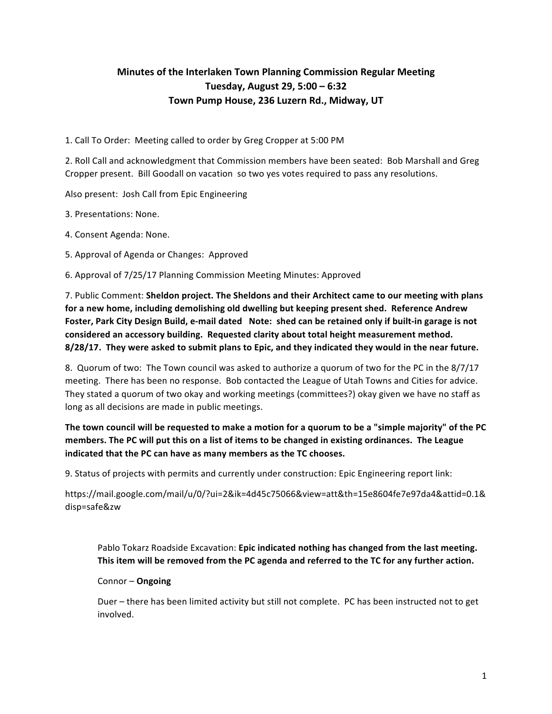## **Minutes of the Interlaken Town Planning Commission Regular Meeting Tuesday, August 29, 5:00 – 6:32** Town Pump House, 236 Luzern Rd., Midway, UT

1. Call To Order: Meeting called to order by Greg Cropper at 5:00 PM

2. Roll Call and acknowledgment that Commission members have been seated: Bob Marshall and Greg Cropper present. Bill Goodall on vacation so two yes votes required to pass any resolutions.

Also present: Josh Call from Epic Engineering

3. Presentations: None.

4. Consent Agenda: None.

5. Approval of Agenda or Changes: Approved

6. Approval of 7/25/17 Planning Commission Meeting Minutes: Approved

7. Public Comment: Sheldon project. The Sheldons and their Architect came to our meeting with plans for a new home, including demolishing old dwelling but keeping present shed. Reference Andrew Foster, Park City Design Build, e-mail dated Note: shed can be retained only if built-in garage is not considered an accessory building. Requested clarity about total height measurement method. 8/28/17. They were asked to submit plans to Epic, and they indicated they would in the near future.

8. Quorum of two: The Town council was asked to authorize a quorum of two for the PC in the 8/7/17 meeting. There has been no response. Bob contacted the League of Utah Towns and Cities for advice. They stated a quorum of two okay and working meetings (committees?) okay given we have no staff as long as all decisions are made in public meetings.

The town council will be requested to make a motion for a quorum to be a "simple majority" of the PC members. The PC will put this on a list of items to be changed in existing ordinances. The League **indicated that the PC can have as many members as the TC chooses.** 

9. Status of projects with permits and currently under construction: Epic Engineering report link:

https://mail.google.com/mail/u/0/?ui=2&ik=4d45c75066&view=att&th=15e8604fe7e97da4&attid=0.1& disp=safe&zw

Pablo Tokarz Roadside Excavation: Epic indicated nothing has changed from the last meeting. This item will be removed from the PC agenda and referred to the TC for any further action.

## Connor – **Ongoing**

Duer – there has been limited activity but still not complete. PC has been instructed not to get involved.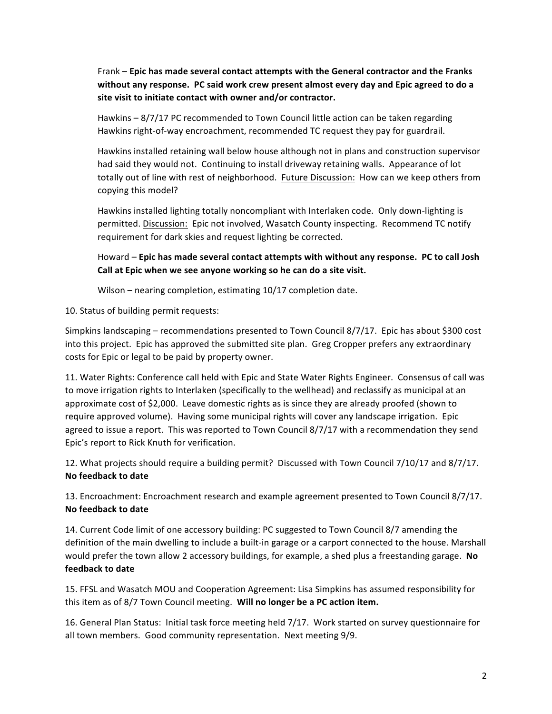Frank – Epic has made several contact attempts with the General contractor and the Franks without any response. PC said work crew present almost every day and Epic agreed to do a site visit to initiate contact with owner and/or contractor.

Hawkins  $-8/7/17$  PC recommended to Town Council little action can be taken regarding Hawkins right-of-way encroachment, recommended TC request they pay for guardrail.

Hawkins installed retaining wall below house although not in plans and construction supervisor had said they would not. Continuing to install driveway retaining walls. Appearance of lot totally out of line with rest of neighborhood. Future Discussion: How can we keep others from copying this model?

Hawkins installed lighting totally noncompliant with Interlaken code. Only down-lighting is permitted. Discussion: Epic not involved, Wasatch County inspecting. Recommend TC notify requirement for dark skies and request lighting be corrected.

Howard – Epic has made several contact attempts with without any response. PC to call Josh Call at Epic when we see anyone working so he can do a site visit.

Wilson – nearing completion, estimating  $10/17$  completion date.

10. Status of building permit requests:

Simpkins landscaping – recommendations presented to Town Council 8/7/17. Epic has about \$300 cost into this project. Epic has approved the submitted site plan. Greg Cropper prefers any extraordinary costs for Epic or legal to be paid by property owner.

11. Water Rights: Conference call held with Epic and State Water Rights Engineer. Consensus of call was to move irrigation rights to Interlaken (specifically to the wellhead) and reclassify as municipal at an approximate cost of \$2,000. Leave domestic rights as is since they are already proofed (shown to require approved volume). Having some municipal rights will cover any landscape irrigation. Epic agreed to issue a report. This was reported to Town Council 8/7/17 with a recommendation they send Epic's report to Rick Knuth for verification.

12. What projects should require a building permit? Discussed with Town Council 7/10/17 and 8/7/17. **No feedback to date**

13. Encroachment: Encroachment research and example agreement presented to Town Council 8/7/17. **No feedback to date**

14. Current Code limit of one accessory building: PC suggested to Town Council 8/7 amending the definition of the main dwelling to include a built-in garage or a carport connected to the house. Marshall would prefer the town allow 2 accessory buildings, for example, a shed plus a freestanding garage. No **feedback to date**

15. FFSL and Wasatch MOU and Cooperation Agreement: Lisa Simpkins has assumed responsibility for this item as of 8/7 Town Council meeting. Will no longer be a PC action item.

16. General Plan Status: Initial task force meeting held 7/17. Work started on survey questionnaire for all town members. Good community representation. Next meeting 9/9.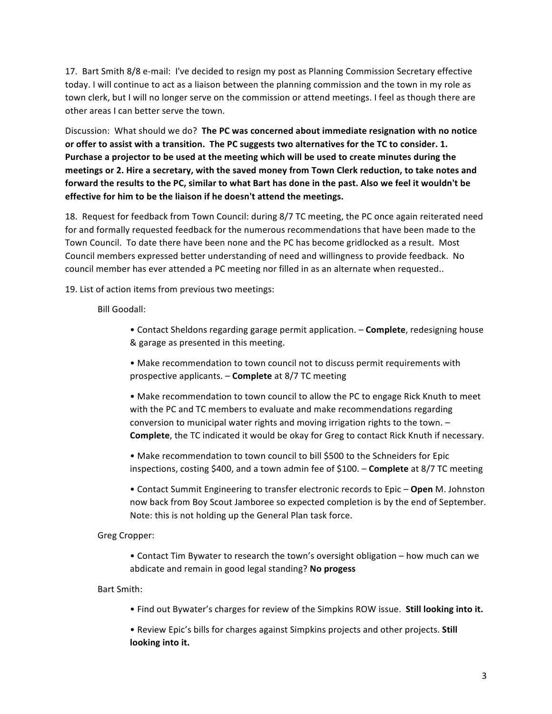17. Bart Smith 8/8 e-mail: I've decided to resign my post as Planning Commission Secretary effective today. I will continue to act as a liaison between the planning commission and the town in my role as town clerk, but I will no longer serve on the commission or attend meetings. I feel as though there are other areas I can better serve the town.

Discussion: What should we do? The PC was concerned about immediate resignation with no notice or offer to assist with a transition. The PC suggests two alternatives for the TC to consider. 1. Purchase a projector to be used at the meeting which will be used to create minutes during the meetings or 2. Hire a secretary, with the saved money from Town Clerk reduction, to take notes and forward the results to the PC, similar to what Bart has done in the past. Also we feel it wouldn't be **effective for him to be the liaison if he doesn't attend the meetings.** 

18. Request for feedback from Town Council: during 8/7 TC meeting, the PC once again reiterated need for and formally requested feedback for the numerous recommendations that have been made to the Town Council. To date there have been none and the PC has become gridlocked as a result. Most Council members expressed better understanding of need and willingness to provide feedback. No council member has ever attended a PC meeting nor filled in as an alternate when requested..

19. List of action items from previous two meetings:

Bill Goodall:

• Contact Sheldons regarding garage permit application. - **Complete**, redesigning house & garage as presented in this meeting.

• Make recommendation to town council not to discuss permit requirements with prospective applicants. - **Complete** at 8/7 TC meeting

• Make recommendation to town council to allow the PC to engage Rick Knuth to meet with the PC and TC members to evaluate and make recommendations regarding conversion to municipal water rights and moving irrigation rights to the town.  $-$ **Complete**, the TC indicated it would be okay for Greg to contact Rick Knuth if necessary.

• Make recommendation to town council to bill \$500 to the Schneiders for Epic inspections, costing \$400, and a town admin fee of \$100. – **Complete** at 8/7 TC meeting

• Contact Summit Engineering to transfer electronic records to Epic – Open M. Johnston now back from Boy Scout Jamboree so expected completion is by the end of September. Note: this is not holding up the General Plan task force.

Greg Cropper:

• Contact Tim Bywater to research the town's oversight obligation – how much can we abdicate and remain in good legal standing? No progess

Bart Smith:

• Find out Bywater's charges for review of the Simpkins ROW issue. Still looking into it.

• Review Epic's bills for charges against Simpkins projects and other projects. **Still** looking into it.